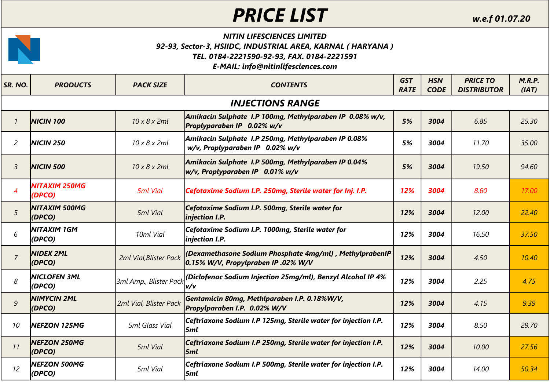## *PRICE LIST w.e.f 01.07.20*

## *NITIN LIFESCIENCES LIMITED 92-93, Sector-3, HSIIDC, INDUSTRIAL AREA, KARNAL ( HARYANA ) TEL. 0184-2221590-92-93, FAX. 0184-2221591*

## *E-MAIL: info@nitinlifesciences.com*

| SR. NO.                    | <b>PRODUCTS</b>                | <b>PACK SIZE</b>          | <b>CONTENTS</b>                                                                                    | <b>GST</b><br><b>RATE</b> | <b>HSN</b><br><b>CODE</b> | <b>PRICE TO</b><br><b>DISTRIBUTOR</b> | M.R.P.<br>(IAT) |  |  |  |  |  |
|----------------------------|--------------------------------|---------------------------|----------------------------------------------------------------------------------------------------|---------------------------|---------------------------|---------------------------------------|-----------------|--|--|--|--|--|
|                            | <b>INJECTIONS RANGE</b>        |                           |                                                                                                    |                           |                           |                                       |                 |  |  |  |  |  |
| $\overline{1}$             | <b>NICIN 100</b>               | $10 \times 8 \times 2$ ml | Amikacin Sulphate I.P 100mg, Methylparaben IP 0.08% w/v,<br>Proplyparaben IP 0.02% w/v             | 5%                        | 3004                      | 6.85                                  | 25.30           |  |  |  |  |  |
| 2                          | <b>NICIN 250</b>               | $10 \times 8 \times 2$ ml | Amikacin Sulphate I.P 250mg, Methylparaben IP 0.08%<br>w/v, Proplyparaben IP 0.02% w/v             | 5%                        | 3004                      | 11.70                                 | 35.00           |  |  |  |  |  |
| $\mathfrak{Z}$             | <b>NICIN 500</b>               | $10 \times 8 \times 2$ ml | Amikacin Sulphate I.P 500mg, Methylparaben IP 0.04%<br>$ w/v$ , Proplyparaben IP 0.01% w/v         | 5%                        | 3004                      | 19.50                                 | 94.60           |  |  |  |  |  |
| $\boldsymbol{\mathcal{A}}$ | <b>NITAXIM 250MG</b><br>(DPCO) | <b>5ml Vial</b>           | Cefotaxime Sodium I.P. 250mg, Sterile water for Inj. I.P.                                          | 12%                       | 3004                      | 8.60                                  | 17.00           |  |  |  |  |  |
| 5                          | NITAXIM 500MG<br>(DPCO)        | 5ml Vial                  | Cefotaxime Sodium I.P. 500mg, Sterile water for<br>injection I.P.                                  | 12%                       | 3004                      | 12.00                                 | 22.40           |  |  |  |  |  |
| 6                          | <b>NITAXIM 1GM</b><br>(DPCO)   | 10ml Vial                 | Cefotaxime Sodium I.P. 1000mg, Sterile water for<br>injection I.P.                                 | 12%                       | 3004                      | 16.50                                 | 37.50           |  |  |  |  |  |
| $\overline{7}$             | <b>NIDEX 2ML</b><br>(DPCO)     | 2ml Vial, Blister Pack    | (Dexamethasone Sodium Phosphate 4mg/ml), MethylprabenIP<br>$ 0.15\%$ W/V, Propylpraben IP .02% W/V | 12%                       | 3004                      | 4.50                                  | 10.40           |  |  |  |  |  |
| 8                          | NICLOFEN 3ML<br>(DPCO)         | 3ml Amp., Blister Pack    | (Diclofenac Sodium Injection 25mg/ml), Benzyl Alcohol IP 4%<br>v/v                                 | 12%                       | 3004                      | 2.25                                  | 4.75            |  |  |  |  |  |
| 9                          | <b>NIMYCIN 2ML</b><br>(DPCO)   | 2ml Vial, Blister Pack    | Gentamicin 80mg, Methlparaben I.P. 0.18%W/V,<br>Propylparaben I.P. 0.02% W/V                       | 12%                       | 3004                      | 4.15                                  | 9.39            |  |  |  |  |  |
| 10                         | NEFZON 125MG                   | 5ml Glass Vial            | Ceftriaxone Sodium I.P 125mg, Sterile water for injection I.P.<br>5ml                              | 12%                       | 3004                      | 8.50                                  | 29.70           |  |  |  |  |  |
| 11                         | <b>NEFZON 250MG</b><br>(DPCO)  | 5ml Vial                  | Ceftriaxone Sodium I.P 250mg, Sterile water for injection I.P.<br> 5ml                             | 12%                       | 3004                      | 10.00                                 | 27.56           |  |  |  |  |  |
| 12                         | <b>NEFZON 500MG</b><br>(DPCO)  | 5ml Vial                  | Ceftriaxone Sodium I.P 500mg, Sterile water for injection I.P.<br> 5ml                             | 12%                       | 3004                      | 14.00                                 | 50.34           |  |  |  |  |  |

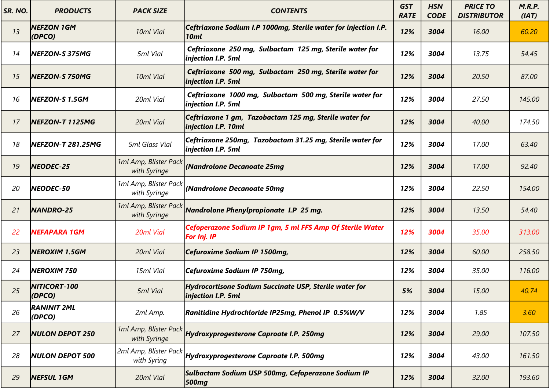| SR. NO. | <b>PRODUCTS</b>               | <b>PACK SIZE</b>                      | <b>CONTENTS</b>                                                                 | <b>GST</b><br><b>RATE</b> | <b>HSN</b><br><b>CODE</b> | <b>PRICE TO</b><br><b>DISTRIBUTOR</b> | M.R.P.<br>(IAT) |
|---------|-------------------------------|---------------------------------------|---------------------------------------------------------------------------------|---------------------------|---------------------------|---------------------------------------|-----------------|
| 13      | <b>NEFZON 1GM</b><br>(DPCO)   | 10ml Vial                             | Ceftriaxone Sodium I.P 1000mg, Sterile water for injection I.P.<br>10ml         | 12%                       | 3004                      | 16.00                                 | 60.20           |
| 14      | NEFZON-S 375MG                | 5ml Vial                              | Ceftriaxone 250 mg, Sulbactam 125 mg, Sterile water for<br>injection I.P. 5ml   | 12%                       | 3004                      | 13.75                                 | 54.45           |
| 15      | NEFZON-S 750MG                | 10ml Vial                             | Ceftriaxone 500 mg, Sulbactam 250 mg, Sterile water for<br>injection I.P. 5ml   | 12%                       | 3004                      | 20.50                                 | 87.00           |
| 16      | NEFZON-S 1.5GM                | 20ml Vial                             | Ceftriaxone 1000 mg, Sulbactam 500 mg, Sterile water for<br>injection I.P. 5ml  | 12%                       | 3004                      | 27.50                                 | 145.00          |
| 17      | NEFZON-T 1125MG               | 20ml Vial                             | Ceftriaxone 1 gm, Tazobactam 125 mg, Sterile water for<br>injection I.P. 10ml   | 12%                       | 3004                      | 40.00                                 | 174.50          |
| 18      | NEFZON-T 281.25MG             | 5ml Glass Vial                        | Ceftriaxone 250mg, Tazobactam 31.25 mg, Sterile water for<br>injection I.P. 5ml | 12%                       | 3004                      | 17.00                                 | 63.40           |
| 19      | NEODEC-25                     | 1ml Amp, Blister Pack<br>with Syringe | (Nandrolone Decanoate 25mg                                                      | 12%                       | 3004                      | 17.00                                 | 92.40           |
| 20      | NEODEC-50                     | 1ml Amp, Blister Pack<br>with Syringe | (Nandrolone Decanoate 50mq                                                      | 12%                       | 3004                      | 22.50                                 | 154.00          |
| 21      | <b>NANDRO-25</b>              | 1ml Amp, Blister Pack<br>with Syringe | Nandrolone Phenylpropionate I.P 25 mg.                                          | 12%                       | 3004                      | 13.50                                 | 54.40           |
| 22      | <b>NEFAPARA 1GM</b>           | 20ml Vial                             | Cefoperazone Sodium IP 1gm, 5 ml FFS Amp Of Sterile Water<br><b>For Inj. IP</b> | 12%                       | 3004                      | 35.00                                 | 313.00          |
| 23      | <b>NEROXIM 1.5GM</b>          | 20ml Vial                             | Cefuroxime Sodium IP 1500mg,                                                    | 12%                       | 3004                      | 60.00                                 | 258.50          |
| 24      | <b>NEROXIM 750</b>            | 15ml Vial                             | Cefuroxime Sodium IP 750mg,                                                     | 12%                       | 3004                      | 35.00                                 | 116.00          |
| 25      | <b>NITICORT-100</b><br>(DPCO) | 5ml Vial                              | Hydrocortisone Sodium Succinate USP, Sterile water for<br>injection I.P. 5ml    | 5%                        | 3004                      | 15.00                                 | 40.74           |
| 26      | <b>RANINIT 2ML</b><br>(DPCO)  | 2ml Amp.                              | Ranitidine Hydrochloride IP25mg, Phenol IP 0.5%W/V                              | 12%                       | 3004                      | 1.85                                  | 3.60            |
| 27      | <b>NULON DEPOT 250</b>        | with Syringe                          | 1ml Amp, Blister Pack Hydroxyprogesterone Caproate I.P. 250mg                   | 12%                       | 3004                      | 29.00                                 | 107.50          |
| 28      | <b>NULON DEPOT 500</b>        | 2ml Amp, Blister Pack<br>with Syring  | Hydroxyprogesterone Caproate I.P. 500mg                                         | 12%                       | 3004                      | 43.00                                 | 161.50          |
| 29      | <b>NEFSUL 1GM</b>             | 20ml Vial                             | Sulbactam Sodium USP 500mg, Cefoperazone Sodium IP<br><b>500mg</b>              | 12%                       | 3004                      | 32.00                                 | 193.60          |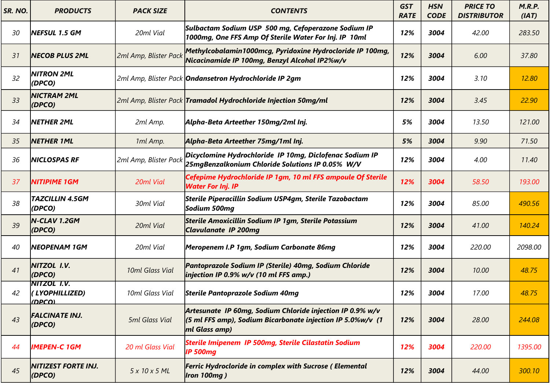| SR. NO. | <b>PRODUCTS</b>                                | <b>PACK SIZE</b>      | <b>CONTENTS</b>                                                                                                                                     | <b>GST</b><br><b>RATE</b> | <b>HSN</b><br><b>CODE</b> | <b>PRICE TO</b><br><b>DISTRIBUTOR</b> | M.R.P.<br>(IAT) |
|---------|------------------------------------------------|-----------------------|-----------------------------------------------------------------------------------------------------------------------------------------------------|---------------------------|---------------------------|---------------------------------------|-----------------|
| 30      | NEFSUL 1.5 GM                                  | 20ml Vial             | Sulbactam Sodium USP 500 mg, Cefoperazone Sodium IP<br>1000mg, One FFS Amp Of Sterile Water For Inj. IP 10ml                                        | 12%                       | 3004                      | 42.00                                 | 283.50          |
| 31      | <b>NECOB PLUS 2ML</b>                          | 2ml Amp, Blister Pack | Methylcobalamin1000mcg, Pyridoxine Hydrocloride IP 100mg,<br>Nicacinamide IP 100mg, Benzyl Alcohal IP2%w/v                                          | 12%                       | 3004                      | 6.00                                  | 37.80           |
| 32      | NITRON 2ML<br>(DPCO)                           |                       | 2ml Amp, Blister Pack <b>Ondansetron Hydrochloride IP 2gm</b>                                                                                       | 12%                       | 3004                      | 3.10                                  | 12.80           |
| 33      | <b>NICTRAM 2ML</b><br>(DPCO)                   |                       | 2ml Amp, Blister Pack Tramadol Hydrochloride Injection 50mg/ml                                                                                      | 12%                       | 3004                      | 3.45                                  | 22.90           |
| 34      | <b>NETHER 2ML</b>                              | 2ml Amp.              | Alpha-Beta Arteether 150mg/2ml Inj.                                                                                                                 | 5%                        | 3004                      | 13.50                                 | 121.00          |
| 35      | <b>NETHER 1ML</b>                              | 1ml Amp.              | Alpha-Beta Arteether 75mg/1ml Inj.                                                                                                                  | 5%                        | 3004                      | 9.90                                  | 71.50           |
| 36      | <b>NICLOSPAS RF</b>                            | 2ml Amp, Blister Paci | Dicyclomine Hydrochloride IP 10mg, Diclofenac Sodium IP<br>25mgBenzalkonium Chloride Solutions IP 0.05% W/V                                         | 12%                       | 3004                      | 4.00                                  | 11.40           |
| 37      | <b>NITIPIME 1GM</b>                            | 20ml Vial             | Cefepime Hydrochloride IP 1gm, 10 ml FFS ampoule Of Sterile<br><b>Water For Inj. IP</b>                                                             | 12%                       | 3004                      | 58.50                                 | 193.00          |
| 38      | <b>TAZCILLIN 4.5GM</b><br>(DPCO)               | 30ml Vial             | Sterile Piperacillin Sodium USP4gm, Sterile Tazobactam<br>Sodium 500mg                                                                              | 12%                       | 3004                      | 85.00                                 | 490.56          |
| 39      | N-CLAV 1.2GM<br>(DPCO)                         | 20ml Vial             | Sterile Amoxicillin Sodium IP 1gm, Sterile Potassium<br><b>Clavulanate IP 200mg</b>                                                                 | 12%                       | 3004                      | 41.00                                 | 140.24          |
| 40      | <b>NEOPENAM 1GM</b>                            | 20ml Vial             | Meropenem I.P 1gm, Sodium Carbonate 86mg                                                                                                            | 12%                       | 3004                      | 220.00                                | 2098.00         |
| 41      | NITZOL I.V.<br>(DPCO)                          | 10ml Glass Vial       | Pantoprazole Sodium IP (Sterile) 40mg, Sodium Chloride<br>injection IP 0.9% $w/v$ (10 ml FFS amp.)                                                  | 12%                       | 3004                      | 10.00                                 | 48.75           |
| 42      | <b>NITZOL I.V.</b><br>(LYOPHILLIZED)<br>(DEC() | 10ml Glass Vial       | Sterile Pantoprazole Sodium 40mg                                                                                                                    | 12%                       | 3004                      | 17.00                                 | 48.75           |
| 43      | <b>FALCINATE INJ.</b><br>(DPCO)                | 5ml Glass Vial        | Artesunate IP 60mg, Sodium Chloride injection IP 0.9% w/v<br>$(5 \text{ ml}$ FFS amp), Sodium Bicarbonate injection IP 5.0%w/v (1)<br>ml Glass amp) | 12%                       | 3004                      | 28.00                                 | 244.08          |
| 44      | <b>IMEPEN-C 1GM</b>                            | 20 ml Glass Vial      | Sterile Imipenem IP 500mg, Sterile Cilastatin Sodium<br><b>IP 500mg</b>                                                                             | 12%                       | 3004                      | 220.00                                | 1395.00         |
| 45      | NITIZEST FORTE INJ.<br>(DPCO)                  | 5x10x5ML              | Ferric Hydrocloride in complex with Sucrose (Elemental<br><b>Iron 100mg)</b>                                                                        | 12%                       | 3004                      | 44.00                                 | 300.10          |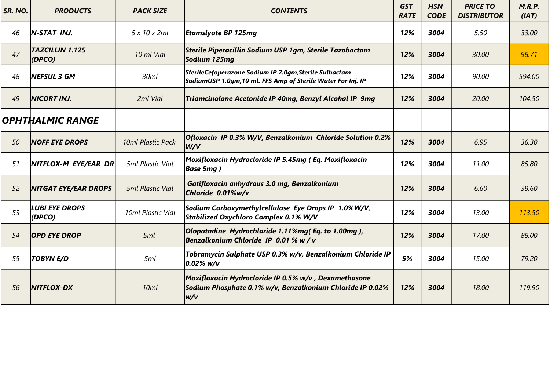| SR. NO. | <b>PRODUCTS</b>                 | <b>PACK SIZE</b>        | <b>CONTENTS</b>                                                                                                           | <b>GST</b><br><b>RATE</b> | <b>HSN</b><br><b>CODE</b> | <b>PRICE TO</b><br><b>DISTRIBUTOR</b> | M.R.P.<br>(IAT) |
|---------|---------------------------------|-------------------------|---------------------------------------------------------------------------------------------------------------------------|---------------------------|---------------------------|---------------------------------------|-----------------|
| 46      | N-STAT INJ.                     | 5 x 10 x 2ml            | <b>Etamslyate BP 125mg</b>                                                                                                | 12%                       | 3004                      | 5.50                                  | 33.00           |
| 47      | TAZCILLIN 1.125<br>(DPCO)       | 10 ml Vial              | Sterile Piperacillin Sodium USP 1gm, Sterile Tazobactam<br>Sodium 125mg                                                   | 12%                       | 3004                      | 30.00                                 | 98.71           |
| 48      | <b>NEFSUL 3 GM</b>              | 30ml                    | SterileCefoperazone Sodium IP 2.0gm,Sterile Sulbactam<br>SodiumUSP 1.0gm,10 ml. FFS Amp of Sterile Water For Inj. IP      | 12%                       | 3004                      | 90.00                                 | 594.00          |
| 49      | <b>NICORT INJ.</b>              | 2ml Vial                | Triamcinolone Acetonide IP 40mg, Benzyl Alcohal IP 9mg                                                                    | 12%                       | 3004                      | 20.00                                 | 104.50          |
|         | OPHTHALMIC RANGE                |                         |                                                                                                                           |                           |                           |                                       |                 |
| 50      | <b>NOFF EYE DROPS</b>           | 10ml Plastic Pack       | Ofloxacin IP 0.3% W/V, Benzalkonium Chloride Solution 0.2%<br>W/V                                                         | 12%                       | 3004                      | 6.95                                  | 36.30           |
| 51      | NITFLOX-M EYE/EAR DR            | 5ml Plastic Vial        | Moxifloxacin Hydrocloride IP 5.45mg ( Eq. Moxifloxacin<br><b>Base 5mg</b> )                                               | 12%                       | 3004                      | 11.00                                 | 85.80           |
| 52      | <b>NITGAT EYE/EAR DROPS</b>     | <b>5ml Plastic Vial</b> | Gatifloxacin anhydrous 3.0 mg, Benzalkonium<br>Chloride 0.01%w/v                                                          | 12%                       | 3004                      | 6.60                                  | 39.60           |
| 53      | <b>LUBI EYE DROPS</b><br>(DPCO) | 10ml Plastic Vial       | Sodium Carboxymethylcellulose Eye Drops IP 1.0%W/V,<br>Stabilized Oxychloro Complex 0.1% W/V                              | 12%                       | 3004                      | 13.00                                 | 113.50          |
| 54      | <b>OPD EYE DROP</b>             | 5ml                     | Olopatadine Hydrochloride 1.11%mg(Eq. to 1.00mg),<br>Benzalkonium Chloride IP 0.01 % w / v                                | 12%                       | 3004                      | 17.00                                 | 88.00           |
| 55      | <b>TOBYN E/D</b>                | 5ml                     | Tobramycin Sulphate USP 0.3% w/v, Benzalkonium Chloride IP<br>$ 0.02\% $ w/v                                              | 5%                        | 3004                      | 15.00                                 | 79.20           |
| 56      | <b>NITFLOX-DX</b>               | 10 <sub>ml</sub>        | Moxifloxacin Hydrocloride IP 0.5% w/v , Dexamethasone<br>Sodium Phosphate 0.1% w/v, Benzalkonium Chloride IP 0.02%<br>w/v | 12%                       | 3004                      | 18.00                                 | 119.90          |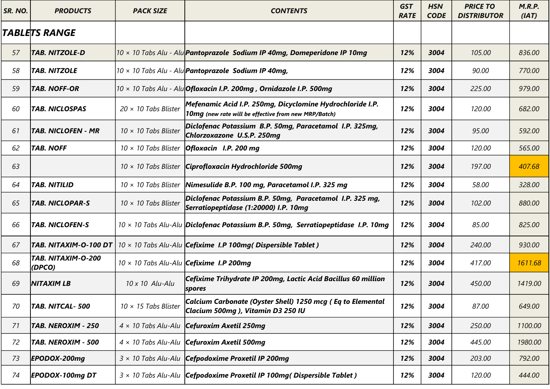| SR. NO. | <b>PRODUCTS</b>              | <b>PACK SIZE</b>            | <b>CONTENTS</b>                                                                                                   | <b>GST</b><br><b>RATE</b> | <b>HSN</b><br><b>CODE</b> | <b>PRICE TO</b><br><b>DISTRIBUTOR</b> | M.R.P.<br>(IAT) |
|---------|------------------------------|-----------------------------|-------------------------------------------------------------------------------------------------------------------|---------------------------|---------------------------|---------------------------------------|-----------------|
|         | TABLETS RANGE                |                             |                                                                                                                   |                           |                           |                                       |                 |
| 57      | <b>TAB. NITZOLE-D</b>        |                             | 10 x 10 Tabs Alu - Alu <b>Pantoprazole Sodium IP 40mg, Domeperidone IP 10mg</b>                                   | 12%                       | 3004                      | 105.00                                | 836.00          |
| 58      | <b>TAB. NITZOLE</b>          |                             | $10 \times 10$ Tabs Alu - Alu <b>Pantoprazole Sodium IP 40mg,</b>                                                 | 12%                       | 3004                      | 90.00                                 | 770.00          |
| 59      | <b>TAB. NOFF-OR</b>          |                             | $10 \times 10$ Tabs Alu - Alu $ Of $ oxacin I.P. 200mg, Ornidazole I.P. 500mg                                     | 12%                       | 3004                      | 225.00                                | 979.00          |
| 60      | <b>TAB. NICLOSPAS</b>        | $20 \times 10$ Tabs Blister | Mefenamic Acid I.P. 250mg, Dicyclomine Hydrochloride I.P.<br>10mg (new rate will be effective from new MRP/Batch) | 12%                       | 3004                      | 120.00                                | 682.00          |
| 61      | <b>TAB. NICLOFEN - MR</b>    | $10 \times 10$ Tabs Blister | Diclofenac Potassium B.P. 50mg, Paracetamol I.P. 325mg,<br>Chlorzoxazone U.S.P. 250mg                             | 12%                       | 3004                      | 95.00                                 | 592.00          |
| 62      | <b>TAB. NOFF</b>             | $10 \times 10$ Tabs Blister | $Oflox$ I.P. 200 mg                                                                                               | 12%                       | 3004                      | 120.00                                | 565.00          |
| 63      |                              | $10 \times 10$ Tabs Blister | Ciprofloxacin Hydrochloride 500mg                                                                                 | 12%                       | 3004                      | 197.00                                | 407.68          |
| 64      | <b>TAB. NITILID</b>          | $10 \times 10$ Tabs Blister | Nimesulide B.P. 100 mg, Paracetamol I.P. 325 mg                                                                   | 12%                       | 3004                      | 58.00                                 | 328.00          |
| 65      | <b>TAB. NICLOPAR-S</b>       | $10 \times 10$ Tabs Blister | Diclofenac Potassium B.P. 50mg, Paracetamol I.P. 325 mg,<br>Serratiopeptidase (1:20000) I.P. 10mg                 | 12%                       | 3004                      | 102.00                                | 880.00          |
| 66      | <b>TAB. NICLOFEN-S</b>       |                             | $10 \times 10$ Tabs Alu-Alu Diclofenac Potassium B.P. 50mg, Serratiopeptidase I.P. 10mg                           | 12%                       | 3004                      | 85.00                                 | 825.00          |
| 67      | TAB. NITAXIM-O-100 DT        |                             | $10 \times 10$ Tabs Alu-Alu Cefixime I.P 100mg( Dispersible Tablet)                                               | 12%                       | 3004                      | 240.00                                | 930.00          |
| 68      | TAB. NITAXIM-O-200<br>(DPCO) |                             | $10 \times 10$ Tabs Alu-Alu <b>Cefixime I.P 200mg</b>                                                             | 12%                       | 3004                      | 417.00                                | 1611.68         |
| 69      | <b>NITAXIM LB</b>            | 10 x 10 Alu-Alu             | Cefixime Trihydrate IP 200mg, Lactic Acid Bacillus 60 million<br> spores                                          | 12%                       | 3004                      | 450.00                                | 1419.00         |
| 70      | TAB. NITCAL-500              | $10 \times 15$ Tabs Blister | Calcium Carbonate (Oyster Shell) 1250 mcg (Eq to Elemental<br>Clacium 500mg), Vitamin D3 250 IU                   | 12%                       | 3004                      | 87.00                                 | 649.00          |
| 71      | TAB. NEROXIM - 250           |                             | $4 \times 10$ Tabs Alu-Alu <b>Cefuroxim Axetil 250mg</b>                                                          | 12%                       | 3004                      | 250.00                                | 1100.00         |
| 72      | TAB. NEROXIM - 500           |                             | $4 \times 10$ Tabs Alu-Alu <b>Cefuroxim Axetil 500mg</b>                                                          | 12%                       | 3004                      | 445.00                                | 1980.00         |
| 73      | EPODOX-200mg                 |                             | $3 \times 10$ Tabs Alu-Alu   Cefpodoxime Proxetil IP 200mg                                                        | 12%                       | 3004                      | 203.00                                | 792.00          |
| 74      | <b>EPODOX-100mg DT</b>       |                             | $3 \times 10$ Tabs Alu-Alu   Cefpodoxime Proxetil IP 100mg (Dispersible Tablet)                                   | 12%                       | 3004                      | 120.00                                | 444.00          |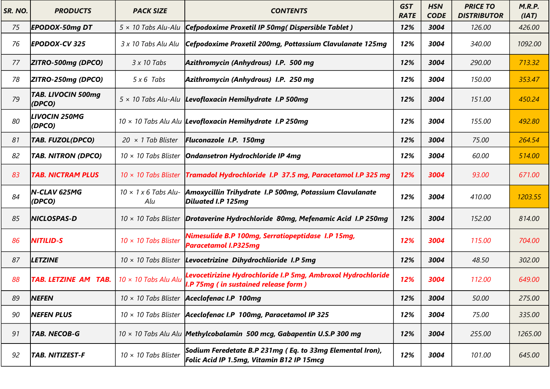| SR. NO. | <b>PRODUCTS</b>                     | <b>PACK SIZE</b>            | <b>CONTENTS</b>                                                                                                | <b>GST</b><br><b>RATE</b> | <b>HSN</b><br><b>CODE</b> | <b>PRICE TO</b><br><b>DISTRIBUTOR</b> | M.R.P.<br>(IAT) |
|---------|-------------------------------------|-----------------------------|----------------------------------------------------------------------------------------------------------------|---------------------------|---------------------------|---------------------------------------|-----------------|
| 75      | <b>EPODOX-50mg DT</b>               | $5 \times 10$ Tabs Alu-Alu  | Cefpodoxime Proxetil IP 50mg(Dispersible Tablet)                                                               | 12%                       | 3004                      | 126.00                                | 426.00          |
| 76      | <b>EPODOX-CV 325</b>                | 3 x 10 Tabs Alu Alu         | Cefpodoxime Proxetil 200mg, Pottassium Clavulanate 125mg                                                       | 12%                       | 3004                      | 340.00                                | 1092.00         |
| 77      | ZITRO-500mg (DPCO)                  | $3x10$ Tabs                 | Azithromycin (Anhydrous) I.P. 500 mg                                                                           | 12%                       | 3004                      | 290.00                                | 713.32          |
| 78      | ZITRO-250mg (DPCO)                  | $5 \times 6$ Tabs           | Azithromycin (Anhydrous) I.P. 250 mg                                                                           | 12%                       | 3004                      | 150.00                                | 353.47          |
| 79      | <b>TAB. LIVOCIN 500mg</b><br>(DPCO) |                             | $5 \times 10$ Tabs Alu-Alu Levofloxacin Hemihydrate I.P 500mg                                                  | 12%                       | 3004                      | 151.00                                | 450.24          |
| 80      | LIVOCIN 250MG<br>(DPCO)             |                             | $10 \times 10$ Tabs Alu Alu  Levofloxacin Hemihydrate I.P 250mg                                                | 12%                       | 3004                      | 155.00                                | 492.80          |
| 81      | <b>TAB. FUZOL(DPCO)</b>             | $20 \times 1$ Tab Blister   | <b>Fluconazole I.P. 150mg</b>                                                                                  | 12%                       | 3004                      | 75.00                                 | 264.54          |
| 82      | <b>TAB. NITRON (DPCO)</b>           | $10 \times 10$ Tabs Blister | <b>Ondansetron Hydrochloride IP 4mg</b>                                                                        | 12%                       | 3004                      | 60.00                                 | 514.00          |
| 83      | <b>TAB. NICTRAM PLUS</b>            | $10 \times 10$ Tabs Blister | Tramadol Hydrochloride I.P 37.5 mg, Paracetamol I.P 325 mg                                                     | 12%                       | 3004                      | 93.00                                 | 671.00          |
| 84      | N-CLAV 625MG<br>(DPCO)              | Alu                         | $10 \times 1 \times 6$ Tabs Alu- Amoxycillin Trihydrate I.P 500mg, Potassium Clavulanate<br>Diluated I.P 125mg | 12%                       | 3004                      | 410.00                                | 1203.55         |
| 85      | <b>NICLOSPAS-D</b>                  | $10 \times 10$ Tabs Blister | Drotaverine Hydrochloride 80mg, Mefenamic Acid I.P 250mg                                                       | 12%                       | 3004                      | 152.00                                | 814.00          |
| 86      | <b>NITILID-S</b>                    | $10 \times 10$ Tabs Blister | Nimesulide B.P 100mg, Serratiopeptidase I.P 15mg,<br><b>Paracetamol I.P325mg</b>                               | 12%                       | 3004                      | 115.00                                | 704.00          |
| 87      | <b>LETZINE</b>                      | $10 \times 10$ Tabs Blister | Levocetrizine Dihydrochlioride I.P 5mg                                                                         | 12%                       | 3004                      | 48.50                                 | 302.00          |
| 88      | <b>TAB. LETZINE AM TAB.</b>         | $10 \times 10$ Tabs Alu Alu | Levocetirizine Hydrochloride I.P 5mg, Ambroxol Hydrochloride<br>I.P 75mg (in sustained release form)           | 12%                       | 3004                      | 112.00                                | 649.00          |
| 89      | <b>NEFEN</b>                        |                             | $10 \times 10$ Tabs Blister <b>Aceclofenac I.P 100mg</b>                                                       | 12%                       | 3004                      | 50.00                                 | 275.00          |
| 90      | <b>NEFEN PLUS</b>                   |                             | $10 \times 10$ Tabs Blister   Aceclofenac I.P 100mg, Paracetamol IP 325                                        | 12%                       | 3004                      | 75.00                                 | 335.00          |
| 91      | <b>TAB. NECOB-G</b>                 |                             | $10 \times 10$ Tabs Alu Alu   Methylcobalamin 500 mcg, Gabapentin U.S.P 300 mg                                 | 12%                       | 3004                      | 255.00                                | 1265.00         |
| 92      | <b>TAB. NITIZEST-F</b>              | 10 × 10 Tabs Blister        | Sodium Feredetate B.P 231mg (Eq. to 33mg Elemental Iron),<br>Folic Acid IP 1.5mg, Vitamin B12 IP 15mcg         | 12%                       | 3004                      | 101.00                                | 645.00          |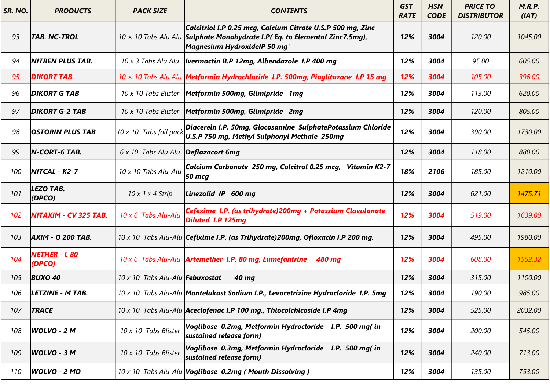| SR. NO. | <b>PRODUCTS</b>                | <b>PACK SIZE</b>                | <b>CONTENTS</b>                                                                                                                                                                  | <b>GST</b><br><b>RATE</b> | <b>HSN</b><br><b>CODE</b> | <b>PRICE TO</b><br><b>DISTRIBUTOR</b> | M.R.P.<br>(IAT) |
|---------|--------------------------------|---------------------------------|----------------------------------------------------------------------------------------------------------------------------------------------------------------------------------|---------------------------|---------------------------|---------------------------------------|-----------------|
| 93      | TAB. NC-TROL                   |                                 | Calcitriol I.P 0.25 mcg, Calcium Citrate U.S.P 500 mg, Zinc<br>$10 \times 10$ Tabs Alu Alu Sulphate Monohydrate I.P(Eq. to Elemental Zinc7.5mg),<br>Magnesium HydroxidelP 50 mg' | 12%                       | 3004                      | 120.00                                | 1045.00         |
| 94      | NITBEN PLUS TAB.               | 10 x 3 Tabs Alu Alu             | <b>Ivermactin B.P 12mg, Albendazole I.P 400 mg</b>                                                                                                                               | 12%                       | 3004                      | 95.00                                 | 605.00          |
| 95      | <b>DIKORT TAB.</b>             |                                 | 10 x 10 Tabs Alu Alu   Metformin Hydrochloride I.P. 500mg, Pioglitazone I.P 15 mg                                                                                                | 12%                       | 3004                      | 105.00                                | 396.00          |
| 96      | <b>DIKORT G TAB</b>            | 10 x 10 Tabs Blister            | Metformin 500mg, Glimipride 1mg                                                                                                                                                  | 12%                       | 3004                      | 113.00                                | 620.00          |
| 97      | <b>DIKORT G-2 TAB</b>          | 10 x 10 Tabs Blister            | Metformin 500mg, Glimipride 2mg                                                                                                                                                  | 12%                       | 3004                      | 120.00                                | 805.00          |
| 98      | <b>OSTORIN PLUS TAB</b>        | 10 x 10 Tabs foil pack          | Diacerein I.P. 50mg, Glocosamine SulphatePotassium Chloride<br>U.S.P 750 mg, Methyl Sulphonyl Methale 250mg                                                                      | 12%                       | 3004                      | 390.00                                | 1730.00         |
| 99      | $N$ -CORT-6 TAB.               | 6 x 10 Tabs Alu Alu             | Deflazacort 6mg                                                                                                                                                                  | 12%                       | 3004                      | 118.00                                | 880.00          |
| 100     | <b>NITCAL - K2-7</b>           | 10 x 10 Tabs Alu-Alu            | Calcium Carbonate 250 mg, Calcitrol 0.25 mcg, Vitamin K2-7<br>50 mcg                                                                                                             | 18%                       | 2106                      | 185.00                                | 1210.00         |
| 101     | LEZO TAB.<br>(DPCO)            | $10 \times 1 \times 4$ Strip    | Linezolid IP 600 mg                                                                                                                                                              | 12%                       | 3004                      | 621.00                                | 1475.71         |
| 102     | NITAXIM - CV 325 TAB.          | 10 x 6 Tabs Alu-Alu             | Cefexime I.P. (as trihydrate) 200mg + Potassium Clavulanate<br><b>Diluted I.P 125mg</b>                                                                                          | 12%                       | 3004                      | 519.00                                | 1639.00         |
| 103     | <b>AXIM - O 200 TAB.</b>       |                                 | 10 x 10 Tabs Alu-Alu Cefixime I.P. (as Trihydrate) 200mg, Ofloxacin I.P 200 mg.                                                                                                  | 12%                       | 3004                      | 495.00                                | 1980.00         |
| 104     | <b>NETHER - L 80</b><br>(DPCO) |                                 | $10 \times 6$ Tabs Alu-Alu <b>Artemether I.P. 80 mg, Lumefantrine</b><br>480 mg                                                                                                  | 12%                       | 3004                      | 608.00                                | 1552.32         |
| 105     | <b>BUXO 40</b>                 | 10 x 10 Tabs Alu-Alu Febuxostat | 40 mg                                                                                                                                                                            | 12%                       | 3004                      | 315.00                                | 1100.00         |
| 106     | LETZINE - M TAB.               |                                 | 10 x 10 Tabs Alu-Alu   Montelukast Sodium I.P., Levocetrizine Hydrocloride I.P. 5mg                                                                                              | 12%                       | 3004                      | 190.00                                | 985.00          |
| 107     | <b>TRACE</b>                   |                                 | 10 x 10 Tabs Alu-Alu <b>Aceclofenac I.P 100 mg., Thiocolchicoside I.P 4mg</b>                                                                                                    | 12%                       | 3004                      | 525.00                                | 2032.00         |
| 108     | WOLVO - 2 M                    | 10 x 10 Tabs Blister            | Voglibose 0.2mg, Metformin Hydrocloride I.P. 500 mg(in<br>sustained release form)                                                                                                | 12%                       | 3004                      | 200.00                                | 545.00          |
| 109     | $WOLVO - 3 M$                  | 10 x 10 Tabs Blister            | Voglibose 0.3mg, Metformin Hydrocloride I.P. 500 mg (in<br>sustained release form)                                                                                               | 12%                       | 3004                      | 240.00                                | 713.00          |
| 110     | WOLVO - 2 MD                   |                                 | 10 x 10 Tabs Alu-Alu   Voglibose 0.2mg ( Mouth Dissolving )                                                                                                                      | 12%                       | 3004                      | 135.00                                | 753.00          |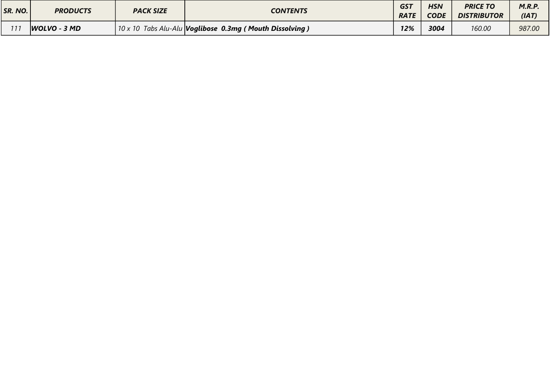| SR. NO. | <b>PRODUCTS</b> | <b>PACK SIZE</b> | <b>CONTENTS</b>                                             | <b>GST</b><br><b>RATE</b> | <b>HSN</b><br><b>CODE</b> | <b>PRICE TO</b><br><b>DISTRIBUTOR</b> | M.R.P<br>(IAT) |
|---------|-----------------|------------------|-------------------------------------------------------------|---------------------------|---------------------------|---------------------------------------|----------------|
|         | WOLVO - 3 MD    |                  | 10 x 10 Tabs Alu-Alu   Voglibose 0.3mg ( Mouth Dissolving ) | 12%                       | 3004                      | 160.00                                | 987.00         |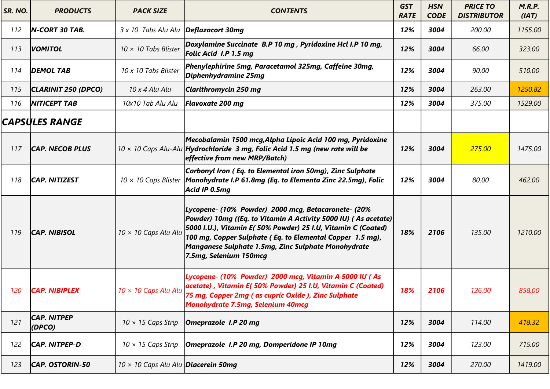| SR. NO. | <b>PRODUCTS</b>              | <b>PACK SIZE</b>                           | <b>CONTENTS</b>                                                                                                                                                                                                                                                                                                                      | <b>GST</b><br><b>RATE</b> | <b>HSN</b><br><b>CODE</b> | <b>PRICE TO</b><br><b>DISTRIBUTOR</b> | M.R.P.<br>(IAT) |
|---------|------------------------------|--------------------------------------------|--------------------------------------------------------------------------------------------------------------------------------------------------------------------------------------------------------------------------------------------------------------------------------------------------------------------------------------|---------------------------|---------------------------|---------------------------------------|-----------------|
| 112     | <b>N-CORT 30 TAB.</b>        | 3 x 10 Tabs Alu Alu                        | Deflazacort 30mg                                                                                                                                                                                                                                                                                                                     | 12%                       | 3004                      | 200.00                                | 1155.00         |
| 113     | <b>VOMITOL</b>               | $10 \times 10$ Tabs Blister                | Doxylamine Succinate B.P 10 mg, Pyridoxine Hcl I.P 10 mg,<br>Folic Acid I.P 1.5 mg                                                                                                                                                                                                                                                   | 12%                       | 3004                      | 66.00                                 | 323.00          |
| 114     | <b>DEMOL TAB</b>             | 10 x 10 Tabs Blister                       | Phenylephirine 5mg, Paracetamol 325mg, Caffeine 30mg,<br>Diphenhydramine 25mg                                                                                                                                                                                                                                                        | 12%                       | 3004                      | 90.00                                 | 510.00          |
| 115     | CLARINIT 250 (DPCO)          | 10 x 4 Alu Alu                             | Clarithromycin 250 mg                                                                                                                                                                                                                                                                                                                | 12%                       | 3004                      | 263.00                                | 1250.82         |
| 116     | <b>NITICEPT TAB</b>          | 10x10 Tab Alu Alu                          | Flavoxate 200 mg                                                                                                                                                                                                                                                                                                                     | 12%                       | 3004                      | 375.00                                | 1529.00         |
|         | <b>CAPSULES RANGE</b>        |                                            |                                                                                                                                                                                                                                                                                                                                      |                           |                           |                                       |                 |
| 117     | <b>CAP. NECOB PLUS</b>       |                                            | Mecobalamin 1500 mcg, Alpha Lipoic Acid 100 mg, Pyridoxine<br>$10 \times 10$ Caps Alu-Alu Hydrochloride 3 mg, Folic Acid 1.5 mg (new rate will be<br>effective from new MRP/Batch)                                                                                                                                                   | 12%                       | 3004                      | 275.00                                | 1475.00         |
| 118     | <b>CAP. NITIZEST</b>         | $10 \times 10$ Caps Blister                | Carbonyl Iron (Eq. to Elemental iron 50mg), Zinc Sulphate<br>Monohydrate I.P 61.8mg (Eq. to Elementa Zinc 22.5mg), Folic<br>$Acid$ IP 0.5 $mg$                                                                                                                                                                                       | 12%                       | 3004                      | 80.00                                 | 462.00          |
| 119     | <b>CAP. NIBISOL</b>          | 10 × 10 Caps Alu Alu                       | Lycopene- (10% Powder) 2000 mcg, Betacaronete- (20%<br>Powder) 10mg ((Eq. to Vitamin A Activity 5000 IU) (As acetate)<br>5000 I.U.), Vitamin E( 50% Powder) 25 I.U, Vitamin C (Coated)<br>100 mg, Copper Sulphate (Eq. to Elemental Copper 1.5 mg),<br>Manganese Sulphate 1.5mg, Zinc Sulphate Monohydrate<br>7.5mg, Selenium 150mcg | 18%                       | 2106                      | 135.00                                | 1210.00         |
| 120     | <b>CAP. NIBIPLEX</b>         | 10 × 10 Caps Alu Alu                       | Lycopene- (10% Powder) 2000 mcg, Vitamin A 5000 IU (As<br>acetate), Vitamin E(50% Powder) 25 I.U, Vitamin C (Coated)<br>75 mg, Copper 2mg ( as cupric Oxide ), Zinc Sulphate<br><b>Monohydrate 7.5mg, Selenium 40mcg</b>                                                                                                             | 18%                       | 2106                      | 126.00                                | 858.00          |
| 121     | <b>CAP. NITPEP</b><br>(DPCO) | $10 \times 15$ Caps Strip                  | Omeprazole I.P 20 mg                                                                                                                                                                                                                                                                                                                 | 12%                       | 3004                      | 114.00                                | 418.32          |
| 122     | <b>CAP. NITPEP-D</b>         | $10 \times 15$ Caps Strip                  | Omeprazole I.P 20 mg, Domperidone IP 10mg                                                                                                                                                                                                                                                                                            | 12%                       | 3004                      | 123.00                                | 715.00          |
| 123     | CAP. OSTORIN-50              | 10 × 10 Caps Alu Alu <i>Diacerein</i> 50mg |                                                                                                                                                                                                                                                                                                                                      | 12%                       | 3004                      | 270.00                                | 1419.00         |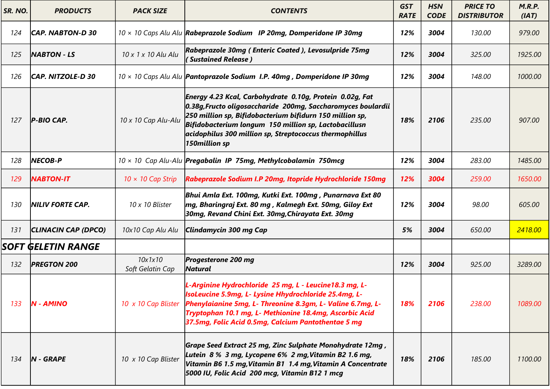| SR. NO. | <b>PRODUCTS</b>         | <b>PACK SIZE</b>            | <b>CONTENTS</b>                                                                                                                                                                                                                                                                                                           | <b>GST</b><br><b>RATE</b> | <b>HSN</b><br><b>CODE</b> | <b>PRICE TO</b><br><b>DISTRIBUTOR</b> | M.R.P.<br>(IAT) |
|---------|-------------------------|-----------------------------|---------------------------------------------------------------------------------------------------------------------------------------------------------------------------------------------------------------------------------------------------------------------------------------------------------------------------|---------------------------|---------------------------|---------------------------------------|-----------------|
| 124     | CAP. NABTON-D 30        |                             | 10 x 10 Caps Alu Alu   Rabeprazole Sodium IP 20mg, Domperidone IP 30mg                                                                                                                                                                                                                                                    | 12%                       | 3004                      | 130.00                                | 979.00          |
| 125     | <b>NABTON - LS</b>      | 10 x 1 x 10 Alu Alu         | Rabeprazole 30mg (Enteric Coated), Levosulpride 75mg<br>(Sustained Release)                                                                                                                                                                                                                                               | 12%                       | 3004                      | 325.00                                | 1925.00         |
| 126     | CAP. NITZOLE-D 30       |                             | $10 \times 10$ Caps Alu Alu   Pantoprazole Sodium I.P. 40mg, Domperidone IP 30mg                                                                                                                                                                                                                                          | 12%                       | 3004                      | 148.00                                | 1000.00         |
| 127     | P-BIO CAP.              | 10 x 10 Cap Alu-Alu         | Energy 4.23 Kcal, Carbohydrate 0.10g, Protein 0.02g, Fat<br>0.38g, Fructo oligosaccharide 200mg, Saccharomyces boulardii<br>250 million sp, Bifidobacterium bifidurn 150 million sp,<br>Bifidobacterium longum 150 million sp, Lactobacillusn<br>acidophilus 300 million sp, Streptococcus thermophillus<br>150million sp | 18%                       | 2106                      | 235.00                                | 907.00          |
| 128     | <b>NECOB-P</b>          |                             | 10 x 10 Cap Alu-Alu <b>Pregabalin IP 75mg, Methylcobalamin 750mcg</b>                                                                                                                                                                                                                                                     | 12%                       | 3004                      | 283.00                                | 1485.00         |
| 129     | <b>NABTON-IT</b>        | $10 \times 10$ Cap Strip    | Rabeprazole Sodium I.P 20mg, Itopride Hydrochloride 150mg                                                                                                                                                                                                                                                                 | 12%                       | 3004                      | 259.00                                | 1650.00         |
| 130     | <b>NILIV FORTE CAP.</b> | 10 x 10 Blister             | Bhui Amla Ext. 100mg, Kutki Ext. 100mg , Punarnava Ext 80<br>$\vert$ mg, Bharingraj Ext. 80 mg , Kalmegh Ext. 50mg, Giloy Ext<br>30mg, Revand Chini Ext. 30mg, Chirayata Ext. 30mg                                                                                                                                        | 12%                       | 3004                      | 98.00                                 | 605.00          |
| 131     | CLINACIN CAP (DPCO)     | 10x10 Cap Alu Alu           | Clindamycin 300 mg Cap                                                                                                                                                                                                                                                                                                    | 5%                        | 3004                      | 650.00                                | 2418.00         |
|         | SOFT GELETIN RANGE      |                             |                                                                                                                                                                                                                                                                                                                           |                           |                           |                                       |                 |
| 132     | <b>PREGTON 200</b>      | 10x1x10<br>Soft Gelatin Cap | <b>Progesterone 200 mg</b><br><i>Natural</i>                                                                                                                                                                                                                                                                              | 12%                       | 3004                      | 925.00                                | 3289.00         |
| 133     | <b>N-AMINO</b>          | 10 x 10 Cap Blister         | L-Arginine Hydrochloride 25 mg, L - Leucine18.3 mg, L-<br><b>IsoLeucine 5.9mg, L- Lysine Hhydrochloride 25.4mg, L-</b><br>Phenylaianine 5mg, L- Threonine 8.3gm, L- Valine 6.7mg, L-<br>Tryptophan 10.1 mg, L- Methionine 18.4mg, Ascorbic Acid<br>37.5mg, Folic Acid 0.5mg, Calcium Pantothentae 5 mg                    | 18%                       | 2106                      | 238.00                                | 1089.00         |
| 134     | $N - GRAPE$             | 10 x 10 Cap Blister         | Grape Seed Extract 25 mg, Zinc Sulphate Monohydrate 12mg,<br>Lutein 8 % 3 mg, Lycopene 6% 2 mg, Vitamin B2 1.6 mg,<br>Vitamin B6 1.5 mg, Vitamin B1 1.4 mg, Vitamin A Concentrate<br>5000 IU, Folic Acid 200 mcg, Vitamin B12 1 mcg                                                                                       | 18%                       | 2106                      | 185.00                                | 1100.00         |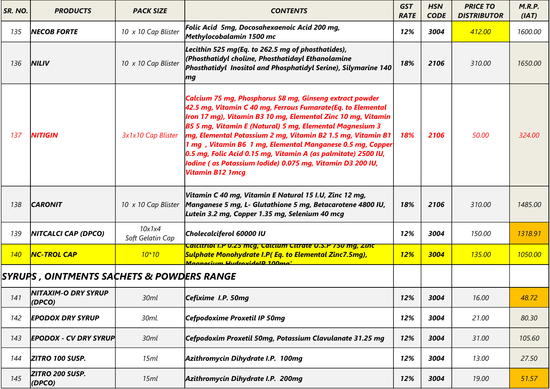| SR. NO. | <b>PRODUCTS</b>                            | <b>PACK SIZE</b>           | <b>CONTENTS</b>                                                                                                                                                                                                                                                                                                                                                                                                                                                                                                                                 | <b>GST</b><br><b>RATE</b> | <b>HSN</b><br><b>CODE</b> | <b>PRICE TO</b><br><b>DISTRIBUTOR</b> | M.R.P.<br>(IAT) |
|---------|--------------------------------------------|----------------------------|-------------------------------------------------------------------------------------------------------------------------------------------------------------------------------------------------------------------------------------------------------------------------------------------------------------------------------------------------------------------------------------------------------------------------------------------------------------------------------------------------------------------------------------------------|---------------------------|---------------------------|---------------------------------------|-----------------|
| 135     | <b>NECOB FORTE</b>                         | 10 x 10 Cap Blister        | Folic Acid 5mg, Docosahexaenoic Acid 200 mg,<br>Methylocobalamin 1500 mc                                                                                                                                                                                                                                                                                                                                                                                                                                                                        | 12%                       | 3004                      | 412.00                                | 1600.00         |
| 136     | <b>NILIV</b>                               | 10 x 10 Cap Blister        | Lecithin 525 mg(Eq. to 262.5 mg of phosthatides),<br>(Phosthatidyl choline, Phosthatidayl Ethanolamine<br>Phosthatidyl Inositol and Phosphatidyl Serine), Silymarine 140<br>$\mathbf{m}$ g                                                                                                                                                                                                                                                                                                                                                      | 18%                       | 2106                      | 310.00                                | 1650.00         |
| 137     | <b>NITIGIN</b>                             | 3x1x10 Cap Blister         | Calcium 75 mg, Phosphorus 58 mg, Ginseng extract powder<br>42.5 mg, Vitamin C 40 mg, Ferrous Fumarate(Eq. to Elemental<br>Iron 17 mg), Vitamin B3 10 mg, Elemental Zinc 10 mg, Vitamin<br><b>B5 5 mg, Vitamin E (Natural) 5 mg, Elemental Magnesium 3</b><br>mg, Elemental Potassium 2 mg, Vitamin B2 1.5 mg, Vitamin B1<br>1 mg, Vitamin B6 1 mg, Elemental Manganese 0.5 mg, Copper<br>0.5 mg, Folic Acid 0.15 mg, Vitamin A (as palmitate) 2500 IU,<br>lodine (as Potassium Iodide) 0.075 mg, Vitamin D3 200 IU,<br><b>Vitamin B12 1 mcg</b> | 18%                       | 2106                      | 50.00                                 | 324.00          |
| 138     | <b>CARONIT</b>                             | 10 x 10 Cap Blister        | Vitamin C 40 mg, Vitamin E Natural 15 I.U, Zinc 12 mg,<br>Manganese 5 mg, L- Glutathione 5 mg, Betacarotene 4800 IU,<br>Lutein 3.2 mg, Copper 1.35 mg, Selenium 40 mcg                                                                                                                                                                                                                                                                                                                                                                          | 18%                       | 2106                      | 310.00                                | 1485.00         |
| 139     | <b>NITCALCI CAP (DPCO)</b>                 | 10x1x4<br>Soft Gelatin Cap | Cholecalciferol 60000 IU                                                                                                                                                                                                                                                                                                                                                                                                                                                                                                                        | 12%                       | 3004                      | 150.00                                | 1318.91         |
| 140     | <b>NC-TROL CAP</b>                         | $10*10$                    | <u>Calcitriol I.P 0.25 mcg, Calcium Citrate 0.S.P 750 mg, Zinci</u><br>Sulphate Monohydrate I.P(Eq. to Elemental Zinc7.5mg),<br><u>Maanacium HudrovidaID 100ma</u>                                                                                                                                                                                                                                                                                                                                                                              | <b>12%</b>                | 3004                      | 135.00                                | 1050.00         |
|         | SYRUPS , OINTMENTS SACHETS & POWDERS RANGE |                            |                                                                                                                                                                                                                                                                                                                                                                                                                                                                                                                                                 |                           |                           |                                       |                 |
| 141     | <b>NITAXIM-O DRY SYRUP</b><br>(DPCO)       | 30ml                       | Cefixime I.P. 50mg                                                                                                                                                                                                                                                                                                                                                                                                                                                                                                                              | 12%                       | 3004                      | 16.00                                 | 48.72           |
| 142     | <b>EPODOX DRY SYRUP</b>                    | 30ml.                      | Cefpodoxime Proxetil IP 50mg                                                                                                                                                                                                                                                                                                                                                                                                                                                                                                                    | 12%                       | 3004                      | 21.00                                 | 80.30           |
| 143     | <b>EPODOX - CV DRY SYRUP</b>               | 30ml                       | Cefpodoxim Proxetil 50mg, Potassium Clavulanate 31.25 mg                                                                                                                                                                                                                                                                                                                                                                                                                                                                                        | 12%                       | 3004                      | 31.00                                 | 105.60          |
| 144     | ZITRO 100 SUSP.                            | 15ml                       | Azithromycin Dihydrate I.P. 100mg                                                                                                                                                                                                                                                                                                                                                                                                                                                                                                               | 12%                       | 3004                      | 13.00                                 | 27.50           |
| 145     | ZITRO 200 SUSP.<br>$\vert$ (DPCO)          | 15ml                       | Azithromycin Dihydrate I.P. 200mg                                                                                                                                                                                                                                                                                                                                                                                                                                                                                                               | 12%                       | 3004                      | 19.00                                 | 51.57           |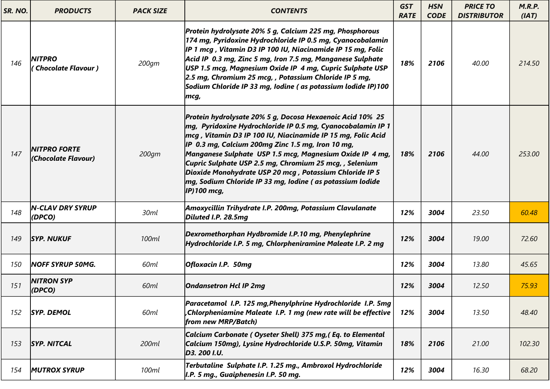| SR. NO. | <b>PRODUCTS</b>                             | <b>PACK SIZE</b> | <b>CONTENTS</b>                                                                                                                                                                                                                                                                                                                                                                                                                                                                                                        | <b>GST</b><br><b>RATE</b> | <b>HSN</b><br><b>CODE</b> | <b>PRICE TO</b><br><b>DISTRIBUTOR</b> | M.R.P.<br>(IAT) |
|---------|---------------------------------------------|------------------|------------------------------------------------------------------------------------------------------------------------------------------------------------------------------------------------------------------------------------------------------------------------------------------------------------------------------------------------------------------------------------------------------------------------------------------------------------------------------------------------------------------------|---------------------------|---------------------------|---------------------------------------|-----------------|
| 146     | <b>NITPRO</b><br><b>Chocolate Flavour )</b> | 200gm            | Protein hydrolysate 20% 5 g, Calcium 225 mg, Phosphorous<br>174 mg, Pyridoxine Hydrochloride IP 0.5 mg, Cyanocobalamin<br>IP 1 mcg, Vitamin D3 IP 100 IU, Niacinamide IP 15 mg, Folic<br>Acid IP 0.3 mg, Zinc 5 mg, Iron 7.5 mg, Manganese Sulphate<br>USP 1.5 mcg, Magnesium Oxide IP 4 mg, Cupric Sulphate USP<br>2.5 mg, Chromium 25 mcg, , Potassium Chloride IP 5 mg,<br>Sodium Chloride IP 33 mg, Iodine (as potassium lodide IP)100<br>mcg,                                                                     | 18%                       | 2106                      | 40.00                                 | 214.50          |
| 147     | <b>NITPRO FORTE</b><br>(Chocolate Flavour)  | 200gm            | Protein hydrolysate 20% 5 g, Docosa Hexaenoic Acid 10% 25<br>$\vert$ mg, Pyridoxine Hydrochloride IP 0.5 mg, Cyanocobalamin IP 1<br>mcg, Vitamin D3 IP 100 IU, Niacinamide IP 15 mg, Folic Acid<br>IP 0.3 mg, Calcium 200mg Zinc 1.5 mg, Iron 10 mg,<br>Manganese Sulphate USP 1.5 mcg, Magnesium Oxide IP 4 mg,<br>Cupric Sulphate USP 2.5 mg, Chromium 25 mcg,, Selenium<br>Dioxide Monohydrate USP 20 mcg, Potassium Chloride IP 5<br>mg, Sodium Chloride IP 33 mg, Iodine (as potassium lodide<br>$ $ IP) 100 mcg, | 18%                       | 2106                      | 44.00                                 | 253.00          |
| 148     | <b>N-CLAV DRY SYRUP</b><br>(DPCO)           | 30ml             | Amoxycillin Trihydrate I.P. 200mg, Potassium Clavulanate<br>Diluted I.P. 28.5mg                                                                                                                                                                                                                                                                                                                                                                                                                                        | 12%                       | 3004                      | 23.50                                 | 60.48           |
| 149     | <b>SYP. NUKUF</b>                           | 100ml            | Dexromethorphan Hydbromide I.P.10 mg, Phenylephrine<br>Hydrochloride I.P. 5 mg, Chlorpheniramine Maleate I.P. 2 mg                                                                                                                                                                                                                                                                                                                                                                                                     | 12%                       | 3004                      | 19.00                                 | 72.60           |
| 150     | <b>NOFF SYRUP 50MG.</b>                     | 60ml             | Ofloxacin I.P. 50mg                                                                                                                                                                                                                                                                                                                                                                                                                                                                                                    | 12%                       | 3004                      | 13.80                                 | 45.65           |
| 151     | <b>NITRON SYP</b><br>(DPCO)                 | 60ml             | <b>Ondansetron Hcl IP 2mg</b>                                                                                                                                                                                                                                                                                                                                                                                                                                                                                          | 12%                       | 3004                      | 12.50                                 | 75.93           |
| 152     | <b>SYP. DEMOL</b>                           | 60ml             | Paracetamol I.P. 125 mg, Phenylphrine Hydrochloride I.P. 5mg<br>Chlorpheniamine Maleate I.P. 1 mg (new rate will be effective<br>from new MRP/Batch)                                                                                                                                                                                                                                                                                                                                                                   | 12%                       | 3004                      | 13.50                                 | 48.40           |
| 153     | <b>SYP. NITCAL</b>                          | 200ml            | Calcium Carbonate (Oyseter Shell) 375 mg, (Eq. to Elemental<br>Calcium 150mg), Lysine Hydrochloride U.S.P. 50mg, Vitamin<br>D3. 200 I.U.                                                                                                                                                                                                                                                                                                                                                                               | 18%                       | 2106                      | 21.00                                 | 102.30          |
| 154     | <b>MUTROX SYRUP</b>                         | 100ml            | Terbutaline Sulphate I.P. 1.25 mg., Ambroxol Hydrochloride<br>$ I.P. 5 mg.$ , Guaiphenesin I.P. 50 mg.                                                                                                                                                                                                                                                                                                                                                                                                                 | 12%                       | 3004                      | 16.30                                 | 68.20           |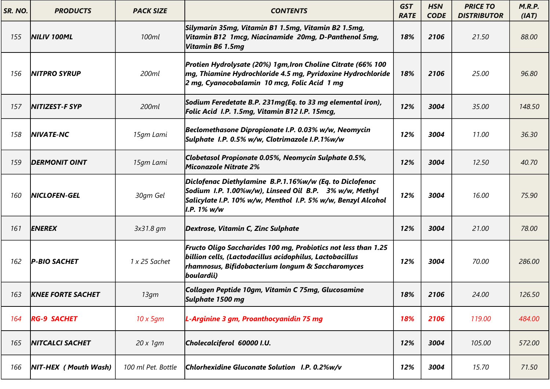| SR. NO. | <b>PRODUCTS</b>          | <b>PACK SIZE</b>   | <b>CONTENTS</b>                                                                                                                                                                                  | <b>GST</b><br><b>RATE</b> | <b>HSN</b><br><b>CODE</b> | <b>PRICE TO</b><br><b>DISTRIBUTOR</b> | M.R.P.<br>(IAT) |
|---------|--------------------------|--------------------|--------------------------------------------------------------------------------------------------------------------------------------------------------------------------------------------------|---------------------------|---------------------------|---------------------------------------|-----------------|
| 155     | NILIV 100ML              | 100ml              | Silymarin 35mg, Vitamin B1 1.5mg, Vitamin B2 1.5mg,<br>Vitamin B12 1mcg, Niacinamide 20mg, D-Panthenol 5mg,<br>Vitamin B6 1.5mg                                                                  | 18%                       | 2106                      | 21.50                                 | 88.00           |
| 156     | <b>NITPRO SYRUP</b>      | 200ml              | Protien Hydrolysate (20%) 1gm, Iron Choline Citrate (66% 100<br>$\vert$ mg, Thiamine Hydrochloride 4.5 mg, Pyridoxine Hydrochloride<br>2 mg, Cyanocobalamin 10 mcg, Folic Acid 1 mg              | 18%                       | 2106                      | 25.00                                 | 96.80           |
| 157     | <b>NITIZEST-F SYP</b>    | 200ml              | Sodium Feredetate B.P. 231mg(Eq. to 33 mg elemental iron),<br>Folic Acid I.P. 1.5mg, Vitamin B12 I.P. 15mcg,                                                                                     | 12%                       | 3004                      | 35.00                                 | 148.50          |
| 158     | <b>NIVATE-NC</b>         | 15qm Lami          | Beclomethasone Dipropionate I.P. 0.03% w/w, Neomycin<br>Sulphate I.P. 0.5% w/w, Clotrimazole I.P.1%w/w                                                                                           | 12%                       | 3004                      | 11.00                                 | 36.30           |
| 159     | <b>DERMONIT OINT</b>     | 15qm Lami          | Clobetasol Propionate 0.05%, Neomycin Sulphate 0.5%,<br>Miconazole Nitrate 2%                                                                                                                    | 12%                       | 3004                      | 12.50                                 | 40.70           |
| 160     | <b>NICLOFEN-GEL</b>      | 30qm Gel           | Diclofenac Diethylamine B.P.1.16%w/w (Eq. to Diclofenac<br>Sodium I.P. 1.00%w/w), Linseed Oil B.P. 3% w/w, Methyl<br>Salicylate I.P. 10% w/w, Menthol I.P. 5% w/w, Benzyl Alcohol<br>I.P. 1% w/w | 12%                       | 3004                      | 16.00                                 | 75.90           |
| 161     | <b>ENEREX</b>            | 3x31.8 gm          | Dextrose, Vitamin C, Zinc Sulphate                                                                                                                                                               | 12%                       | 3004                      | 21.00                                 | 78.00           |
| 162     | <b>P-BIO SACHET</b>      | 1 x 25 Sachet      | Fructo Oligo Saccharides 100 mg, Probiotics not less than 1.25<br>billion cells, (Lactodacillus acidophilus, Lactobacillus<br>rhamnosus, Bifidobacterium longum & Saccharomyces<br>boulardii)    | 12%                       | 3004                      | 70.00                                 | 286.00          |
| 163     | <b>KNEE FORTE SACHET</b> | 13gm               | Collagen Peptide 10gm, Vitamin C 75mg, Glucosamine<br>Sulphate 1500 mg                                                                                                                           | 18%                       | 2106                      | 24.00                                 | 126.50          |
| 164     | <b>RG-9 SACHET</b>       | $10 \times 5$ qm   | L-Arginine 3 gm, Proanthocyanidin 75 mg                                                                                                                                                          | 18%                       | 2106                      | 119.00                                | 484.00          |
| 165     | <b>NITCALCI SACHET</b>   | $20 \times 1$ qm   | Cholecalciferol 60000 I.U.                                                                                                                                                                       | 12%                       | 3004                      | 105.00                                | 572.00          |
| 166     | NIT-HEX (Mouth Wash)     | 100 ml Pet. Bottle | Chlorhexidine Gluconate Solution I.P. 0.2%w/v                                                                                                                                                    | 12%                       | 3004                      | 15.70                                 | 71.50           |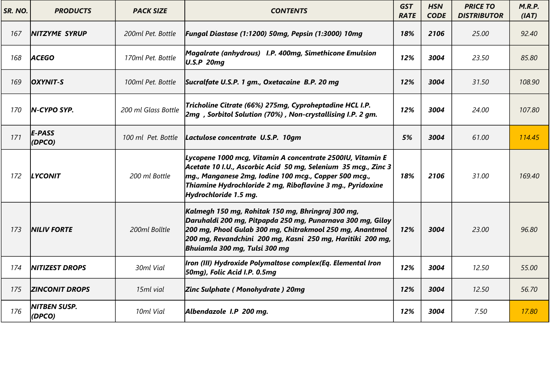| SR. NO. | <b>PRODUCTS</b>                 | <b>PACK SIZE</b>    | <b>CONTENTS</b>                                                                                                                                                                                                                                                              | <b>GST</b><br><b>RATE</b> | <b>HSN</b><br><b>CODE</b> | <b>PRICE TO</b><br><b>DISTRIBUTOR</b> | M.R.P.<br>(IAT) |
|---------|---------------------------------|---------------------|------------------------------------------------------------------------------------------------------------------------------------------------------------------------------------------------------------------------------------------------------------------------------|---------------------------|---------------------------|---------------------------------------|-----------------|
| 167     | <b>NITZYME SYRUP</b>            | 200ml Pet. Bottle   | Fungal Diastase (1:1200) 50mg, Pepsin (1:3000) 10mg                                                                                                                                                                                                                          | 18%                       | 2106                      | 25.00                                 | 92.40           |
| 168     | <b>ACEGO</b>                    | 170ml Pet. Bottle   | Magalrate (anhydrous) I.P. 400mg, Simethicone Emulsion<br><b>U.S.P 20mg</b>                                                                                                                                                                                                  | 12%                       | 3004                      | 23.50                                 | 85.80           |
| 169     | <b>OXYNIT-S</b>                 | 100ml Pet. Bottle   | Sucralfate U.S.P. 1 gm., Oxetacaine B.P. 20 mg                                                                                                                                                                                                                               | 12%                       | 3004                      | 31.50                                 | 108.90          |
| 170     | $N$ -CYPO SYP.                  | 200 ml Glass Bottle | Tricholine Citrate (66%) 275mg, Cyproheptadine HCL I.P.<br>2mg, Sorbitol Solution (70%), Non-crystallising I.P. 2 gm.                                                                                                                                                        | 12%                       | 3004                      | 24.00                                 | 107.80          |
| 171     | <b>E-PASS</b><br>$\vert$ (DPCO) | 100 ml Pet. Bottle  | Lactulose concentrate U.S.P. 10gm                                                                                                                                                                                                                                            | 5%                        | 3004                      | 61.00                                 | 114.45          |
| 172     | <b>LYCONIT</b>                  | 200 ml Bottle       | Lycopene 1000 mcg, Vitamin A concentrate 2500IU, Vitamin E<br>Acetate 10 I.U., Ascorbic Acid 50 mg, Selenium 35 mcg., Zinc 3<br>mg., Manganese 2mg, Iodine 100 mcg., Copper 500 mcg.,<br>Thiamine Hydrochloride 2 mg, Riboflavine 3 mg., Pyridoxine<br>Hydrochloride 1.5 mg. | 18%                       | 2106                      | 31.00                                 | 169.40          |
| 173     | <b>NILIV FORTE</b>              | 200ml Bolltle       | Kalmegh 150 mg, Rohitak 150 mg, Bhringraj 300 mg,<br>Daruhaldi 200 mg, Pitpapda 250 mg, Punarnava 300 mg, Giloy<br>200 mg, Phool Gulab 300 mg, Chitrakmool 250 mg, Anantmol<br>200 mg, Revandchini 200 mg, Kasni 250 mg, Haritiki 200 mg,<br>Bhuiamla 300 mg, Tulsi 300 mg   | 12%                       | 3004                      | 23.00                                 | 96.80           |
| 174     | <b>NITIZEST DROPS</b>           | 30ml Vial           | Iron (III) Hydroxide Polymaltose complex(Eq. Elemental Iron<br>50mg), Folic Acid I.P. 0.5mg                                                                                                                                                                                  | 12%                       | 3004                      | 12.50                                 | 55.00           |
| 175     | <b>ZINCONIT DROPS</b>           | 15ml vial           | Zinc Sulphate (Monohydrate) 20mg                                                                                                                                                                                                                                             | 12%                       | 3004                      | 12.50                                 | 56.70           |
| 176     | <b>NITBEN SUSP.</b><br>(DPCO)   | 10ml Vial           | Albendazole I.P 200 mg.                                                                                                                                                                                                                                                      | 12%                       | 3004                      | 7.50                                  | 17.80           |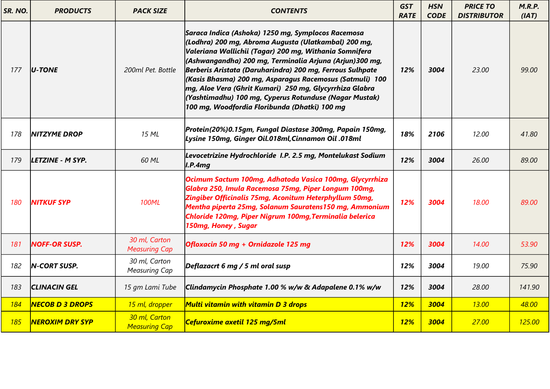| SR. NO.    | <b>PRODUCTS</b>        | <b>PACK SIZE</b>                      | <b>CONTENTS</b>                                                                                                                                                                                                                                                                                                                                                                                                                                                                                                                | <b>GST</b><br><b>RATE</b> | <b>HSN</b><br><b>CODE</b> | <b>PRICE TO</b><br><b>DISTRIBUTOR</b> | M.R.P.<br>(IAT) |
|------------|------------------------|---------------------------------------|--------------------------------------------------------------------------------------------------------------------------------------------------------------------------------------------------------------------------------------------------------------------------------------------------------------------------------------------------------------------------------------------------------------------------------------------------------------------------------------------------------------------------------|---------------------------|---------------------------|---------------------------------------|-----------------|
| 177        | $U-TONE$               | 200ml Pet. Bottle                     | Saraca Indica (Ashoka) 1250 mg, Symplocos Racemosa<br>(Lodhra) 200 mg, Abroma Augusta (Ulatkambal) 200 mg,<br>Valeriana Wallichii (Tagar) 200 mg, Withania Somnifera<br>(Ashwangandha) 200 mg, Terminalia Arjuna (Arjun)300 mg,<br>Berberis Aristata (Daruharindra) 200 mg, Ferrous Sulhpate<br>(Kasis Bhasma) 200 mg, Asparagus Racemosus (Satmuli) 100<br>mg, Aloe Vera (Ghrit Kumari) 250 mg, Glycyrrhiza Glabra<br>(Yashtimadhu) 100 mg, Cyperus Rotunduse (Nagar Mustak)<br>100 mg, Woodfordia Floribunda (Dhatki) 100 mg | 12%                       | 3004                      | 23.00                                 | 99.00           |
| 178        | <b>NITZYME DROP</b>    | 15 ML                                 | Protein(20%)0.15gm, Fungal Diastase 300mg, Papain 150mg,<br>Lysine 150mg, Ginger Oil.018ml, Cinnamon Oil .018ml                                                                                                                                                                                                                                                                                                                                                                                                                | 18%                       | 2106                      | 12.00                                 | 41.80           |
| 179        | LETZINE - M SYP.       | 60 ML                                 | Levocetrizine Hydrochloride I.P. 2.5 mg, Montelukast Sodium<br> I.P.4mg                                                                                                                                                                                                                                                                                                                                                                                                                                                        | 12%                       | 3004                      | 26.00                                 | 89.00           |
| 180        | <b>NITKUF SYP</b>      | <b>100ML</b>                          | Ocimum Sactum 100mg, Adhatoda Vasica 100mg, Glycyrrhiza<br>Glabra 250, Imula Racemosa 75mg, Piper Longum 100mg,<br>Zingiber Officinalis 75mg, Aconitum Heterphyllum 50mg,<br>Mentha piperta 25mg, Solanum Sauratens150 mg, Ammonium<br>Chloride 120mg, Piper Nigrum 100mg, Terminalia belerica<br>150mg, Honey, Sugar                                                                                                                                                                                                          | 12%                       | 3004                      | 18.00                                 | 89.00           |
| 181        | <b>NOFF-OR SUSP.</b>   | 30 ml, Carton<br><b>Measuring Cap</b> | Ofloxacin 50 mg + Ornidazole 125 mg                                                                                                                                                                                                                                                                                                                                                                                                                                                                                            | 12%                       | 3004                      | 14.00                                 | 53.90           |
| 182        | <b>N-CORT SUSP.</b>    | 30 ml, Carton<br><b>Measuring Cap</b> | Deflazacrt 6 mg / 5 ml oral susp                                                                                                                                                                                                                                                                                                                                                                                                                                                                                               | 12%                       | 3004                      | 19.00                                 | 75.90           |
| 183        | <b>CLINACIN GEL</b>    | 15 gm Lami Tube                       | Clindamycin Phosphate 1.00 % w/w & Adapalene 0.1% w/w                                                                                                                                                                                                                                                                                                                                                                                                                                                                          | 12%                       | 3004                      | 28.00                                 | 141.90          |
| 184        | <b>NECOB D 3 DROPS</b> | 15 ml, dropper                        | Multi vitamin with vitamin D 3 drops                                                                                                                                                                                                                                                                                                                                                                                                                                                                                           | <b>12%</b>                | 3004                      | <b>13.00</b>                          | 48.00           |
| <b>185</b> | <b>NEROXIM DRY SYP</b> | 30 ml, Carton<br><b>Measuring Cap</b> | Cefuroxime axetil 125 mg/5ml                                                                                                                                                                                                                                                                                                                                                                                                                                                                                                   | <b>12%</b>                | 3004                      | 27.00                                 | 125.00          |